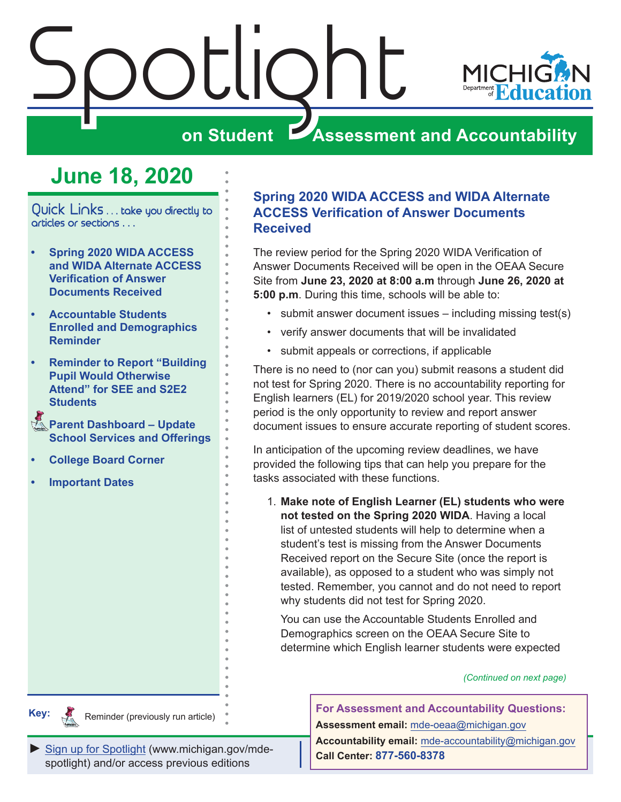<span id="page-0-0"></span>

# **June 18, 2020**

Quick Links . . . take you directly to articles or sections . . .

- **• Spring 2020 WIDA ACCESS and WIDA Alternate ACCESS Verification of Answer Documents Received**
- **• [Accountable Students](#page-1-0)  [Enrolled and Demographics](#page-1-0)  [Reminder](#page-1-0)**
- **• [Reminder to Report "Building](#page-1-0)  [Pupil Would Otherwise](#page-1-0)  [Attend" for SEE and S2E2](#page-1-0)  [Students](#page-1-0)**
- Reminders **[Parent Dashboard Update](#page-2-0)  [School Services and Offerings](#page-2-0)**
- **• [College Board Corner](#page-4-0)**
- **• [Important Dates](#page-5-0)**

**Key:**

# **Spring 2020 WIDA ACCESS and WIDA Alternate ACCESS Verification of Answer Documents Received**

The review period for the Spring 2020 WIDA Verification of Answer Documents Received will be open in the OEAA Secure Site from **June 23, 2020 at 8:00 a.m** through **June 26, 2020 at 5:00 p.m**. During this time, schools will be able to:

- submit answer document issues including missing test(s)
- verify answer documents that will be invalidated
- submit appeals or corrections, if applicable

There is no need to (nor can you) submit reasons a student did not test for Spring 2020. There is no accountability reporting for English learners (EL) for 2019/2020 school year. This review period is the only opportunity to review and report answer document issues to ensure accurate reporting of student scores.

In anticipation of the upcoming review deadlines, we have provided the following tips that can help you prepare for the tasks associated with these functions.

1. **Make note of English Learner (EL) students who were not tested on the Spring 2020 WIDA**. Having a local list of untested students will help to determine when a student's test is missing from the Answer Documents Received report on the Secure Site (once the report is available), as opposed to a student who was simply not tested. Remember, you cannot and do not need to report why students did not test for Spring 2020.

You can use the Accountable Students Enrolled and Demographics screen on the OEAA Secure Site to determine which English learner students were expected

*(Continued on next page)*

**For Assessment and Accountability Questions: Assessment email:** mde-oeaa[@michigan.gov](mailto:mde-oeaa%40michigan.gov?subject=assessment%20question) **Accountability email:** mde[-accountability@michigan.gov](mailto:MDE-Accountability%40michigan.gov?subject=Accountability%20question) **Call Center: 877-560-8378**

**Remindered** Reminder (previously run article)

*►* [Sign up for Spotlight](https://public.govdelivery.com/accounts/MIMDE/subscriber/new) [\(www.michigan.gov/mde](www.michigan.gov/mde-spotlight)spotlight) and/or access previous editions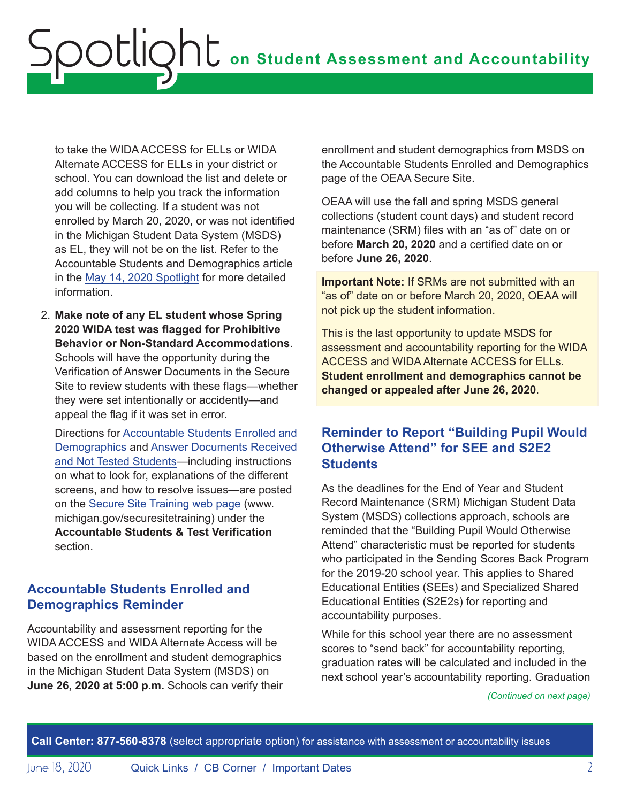<span id="page-1-0"></span>to take the WIDA ACCESS for ELLs or WIDA Alternate ACCESS for ELLs in your district or school. You can download the list and delete or add columns to help you track the information you will be collecting. If a student was not enrolled by March 20, 2020, or was not identified in the Michigan Student Data System (MSDS) as EL, they will not be on the list. Refer to the Accountable Students and Demographics article in the [May 14, 2020 Spotlight](https://www.michigan.gov/documents/mde/Spotlight_5-14-20_690657_7.pdf) for more detailed information.

2. **Make note of any EL student whose Spring 2020 WIDA test was flagged for Prohibitive Behavior or Non-Standard Accommodations**. Schools will have the opportunity during the Verification of Answer Documents in the Secure Site to review students with these flags—whether they were set intentionally or accidently—and appeal the flag if it was set in error.

Directions for [Accountable Students Enrolled and](https://www.michigan.gov/documents/mde/Accountable_Students_Enrolled_and_Demographics_621314_7.pdf)  [Demographics](https://www.michigan.gov/documents/mde/Accountable_Students_Enrolled_and_Demographics_621314_7.pdf) and [Answer Documents Received](https://www.michigan.gov/documents/mde/Answer_Documents_Received_and_Not_Tested_Students_instructions_623116_7.pdf)  [and Not Tested Students](https://www.michigan.gov/documents/mde/Answer_Documents_Received_and_Not_Tested_Students_instructions_623116_7.pdf)—including instructions on what to look for, explanations of the different screens, and how to resolve issues—are posted on the [Secure Site Training web page](http://www.michigan.gov/securesitetraining) (www. michigan.gov/securesitetraining) under the **Accountable Students & Test Verification** section.

# **Accountable Students Enrolled and Demographics Reminder**

Accountability and assessment reporting for the WIDA ACCESS and WIDA Alternate Access will be based on the enrollment and student demographics in the Michigan Student Data System (MSDS) on **June 26, 2020 at 5:00 p.m.** Schools can verify their enrollment and student demographics from MSDS on the Accountable Students Enrolled and Demographics page of the OEAA Secure Site.

OEAA will use the fall and spring MSDS general collections (student count days) and student record maintenance (SRM) files with an "as of" date on or before **March 20, 2020** and a certified date on or before **June 26, 2020**.

**Important Note:** If SRMs are not submitted with an "as of" date on or before March 20, 2020, OEAA will not pick up the student information.

This is the last opportunity to update MSDS for assessment and accountability reporting for the WIDA ACCESS and WIDA Alternate ACCESS for ELLs. **Student enrollment and demographics cannot be changed or appealed after June 26, 2020**.

# **Reminder to Report "Building Pupil Would Otherwise Attend" for SEE and S2E2 Students**

As the deadlines for the End of Year and Student Record Maintenance (SRM) Michigan Student Data System (MSDS) collections approach, schools are reminded that the "Building Pupil Would Otherwise Attend" characteristic must be reported for students who participated in the Sending Scores Back Program for the 2019-20 school year. This applies to Shared Educational Entities (SEEs) and Specialized Shared Educational Entities (S2E2s) for reporting and accountability purposes.

While for this school year there are no assessment scores to "send back" for accountability reporting, graduation rates will be calculated and included in the next school year's accountability reporting. Graduation

*(Continued on next page)*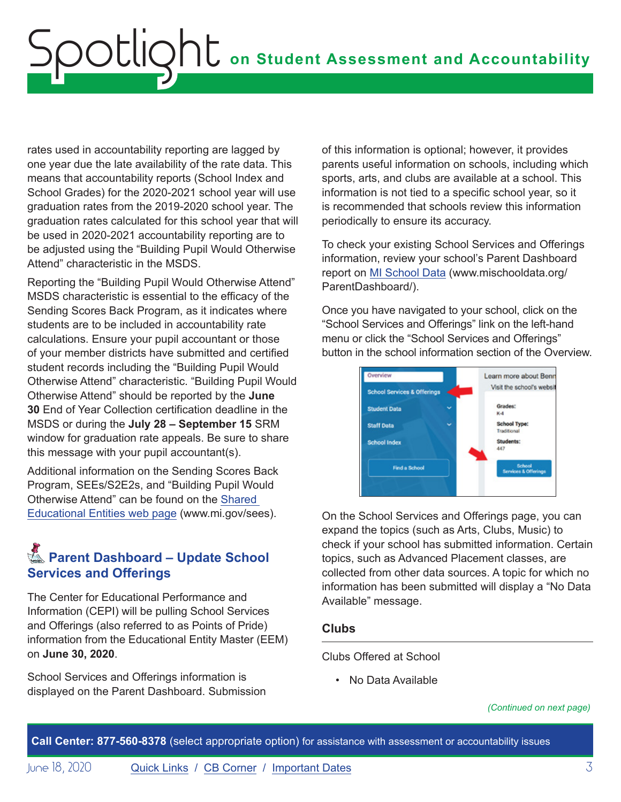<span id="page-2-0"></span>rates used in accountability reporting are lagged by one year due the late availability of the rate data. This means that accountability reports (School Index and School Grades) for the 2020-2021 school year will use graduation rates from the 2019-2020 school year. The graduation rates calculated for this school year that will be used in 2020-2021 accountability reporting are to be adjusted using the "Building Pupil Would Otherwise Attend" characteristic in the MSDS.

Reporting the "Building Pupil Would Otherwise Attend" MSDS characteristic is essential to the efficacy of the Sending Scores Back Program, as it indicates where students are to be included in accountability rate calculations. Ensure your pupil accountant or those of your member districts have submitted and certified student records including the "Building Pupil Would Otherwise Attend" characteristic. "Building Pupil Would Otherwise Attend" should be reported by the **June 30** End of Year Collection certification deadline in the MSDS or during the **July 28 – September 15** SRM window for graduation rate appeals. Be sure to share this message with your pupil accountant(s).

Additional information on the Sending Scores Back Program, SEEs/S2E2s, and "Building Pupil Would Otherwise Attend" can be found on the [Shared](http://www.mi.gov/sees)  [Educational Entities web page](http://www.mi.gov/sees) (www.mi.gov/sees).

# **Reminders** Parent Dashboard – Update School **Services and Offerings**

The Center for Educational Performance and Information (CEPI) will be pulling School Services and Offerings (also referred to as Points of Pride) information from the Educational Entity Master (EEM) on **June 30, 2020**.

School Services and Offerings information is displayed on the Parent Dashboard. Submission of this information is optional; however, it provides parents useful information on schools, including which sports, arts, and clubs are available at a school. This information is not tied to a specific school year, so it is recommended that schools review this information periodically to ensure its accuracy.

To check your existing School Services and Offerings information, review your school's Parent Dashboard report on [MI School Data](http://www.mischooldata.org/ParentDashboard/) (www.mischooldata.org/ ParentDashboard/).

Once you have navigated to your school, click on the "School Services and Offerings" link on the left-hand menu or click the "School Services and Offerings" button in the school information section of the Overview.



On the School Services and Offerings page, you can expand the topics (such as Arts, Clubs, Music) to check if your school has submitted information. Certain topics, such as Advanced Placement classes, are collected from other data sources. A topic for which no information has been submitted will display a "No Data Available" message.

## **Clubs**

Clubs Offered at School

• No Data Available

*(Continued on next page)*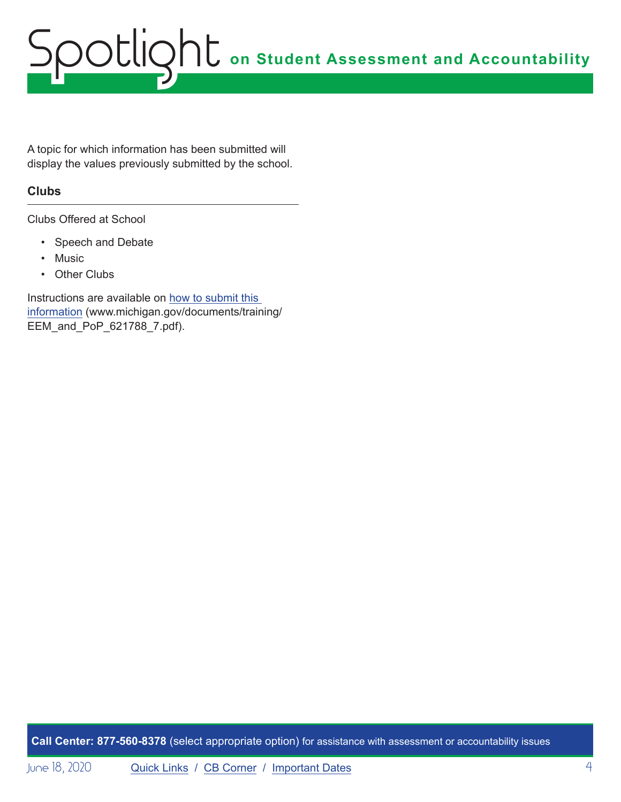# **on Student Assessment and Accountability** Spotlight

A topic for which information has been submitted will display the values previously submitted by the school.

## **Clubs**

Clubs Offered at School

- Speech and Debate
- Music
- Other Clubs

Instructions are available on [how to submit this](https://www.michigan.gov/documents/training/EEM_and_PoP_621788_7.pdf)  [information](https://www.michigan.gov/documents/training/EEM_and_PoP_621788_7.pdf) (www.michigan.gov/documents/training/ EEM\_and\_PoP\_621788\_7.pdf).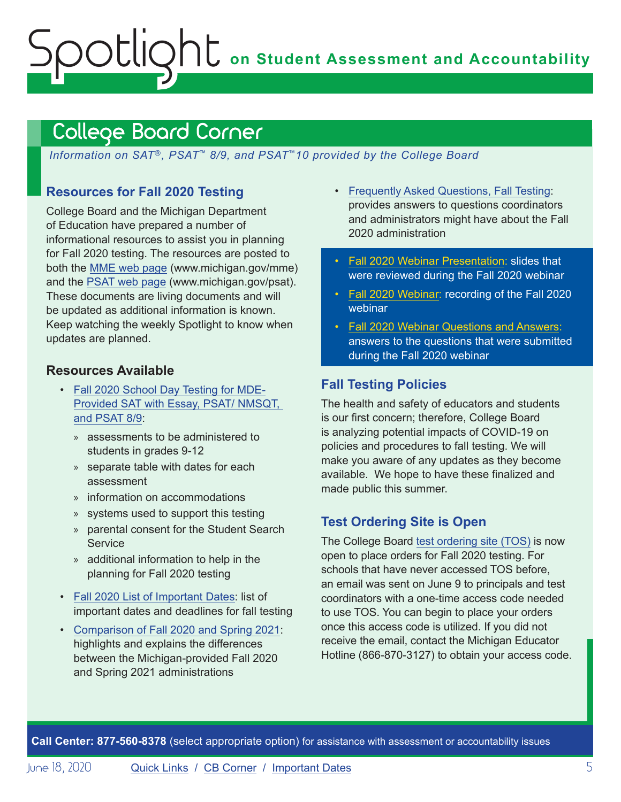# <span id="page-4-0"></span>**on Student Assessment and Accountability** ootlig

# <span id="page-4-1"></span>College Board Corner

*Information on SAT*®*, PSAT*™ *8/9, and PSAT*™*10 provided by the College Board*

## **Resources for Fall 2020 Testing**

College Board and the Michigan Department of Education have prepared a number of informational resources to assist you in planning for Fall 2020 testing. The resources are posted to both the [MME web page](www.michigan.gov/mme) (www.michigan.gov/mme) and the [PSAT web page](http://www.michigan.gov/psat) (www.michigan.gov/psat). These documents are living documents and will be updated as additional information is known. Keep watching the weekly Spotlight to know when updates are planned.

## **Resources Available**

- [Fall 2020 School Day Testing for MDE-](https://www.michigan.gov/documents/mde/Fall_2020_School_Day_Testing_for_MDE_Provided_Assessments_690609_7.pdf)[Provided SAT with Essay, PSAT/ NMSQT,](https://www.michigan.gov/documents/mde/Fall_2020_School_Day_Testing_for_MDE_Provided_Assessments_690609_7.pdf)  [and PSAT 8/9](https://www.michigan.gov/documents/mde/Fall_2020_School_Day_Testing_for_MDE_Provided_Assessments_690609_7.pdf):
	- » assessments to be administered to students in grades 9-12
	- » separate table with dates for each assessment
	- » information on accommodations
	- » systems used to support this testing
	- » parental consent for the Student Search **Service**
	- » additional information to help in the planning for Fall 2020 testing
- [Fall 2020 List of Important Dates:](https://www.michigan.gov/documents/mde/Fall_2020_List_of_Important_Dates_689777_7.pdf) list of important dates and deadlines for fall testing
- [Comparison of Fall 2020 and Spring 2021](https://www.michigan.gov/documents/mde/Michigan_Fall_vs_Spring_ADA_691944_7.pdf): highlights and explains the differences between the Michigan-provided Fall 2020 and Spring 2021 administrations
- [Frequently Asked Questions, Fall Testing:](https://nam04.safelinks.protection.outlook.com/?url=https%3A%2F%2Fwww.michigan.gov%2Fdocuments%2Fmde%2FMichigan_FAQs_ADA_691945_7.pdf&data=02%7C01%7Csthaler%40collegeboard.org%7Ce133257eede44e82cd5e08d80261521b%7C7530bdedfd6e4f58b5d2ea681eb07663%7C0%7C1%7C637261964308033767&sdata=DupAclI5ZwRkaelQMf5Q6DrAsM6Y9qjfhoOd6F%2FegKg%3D&reserved=0) provides answers to questions coordinators and administrators might have about the Fall 2020 administration
- [Fall 2020 Webinar Presentation:](https://www.michigan.gov/documents/mde/2020_MI_Fall_Testing_FINAL_ADA_693997_7.pdf) slides that were reviewed during the Fall 2020 webinar
- [Fall 2020 Webinar:](https://youtu.be/U32UjD7PhYc) recording of the Fall 2020 webinar
- [Fall 2020 Webinar Questions and Answers](https://www.michigan.gov/documents/mde/Fall_2020_Webinar_QA_694008_7.pdf): answers to the questions that were submitted during the Fall 2020 webinar

## **Fall Testing Policies**

The health and safety of educators and students is our first concern; therefore, College Board is analyzing potential impacts of COVID-19 on policies and procedures to fall testing. We will make you aware of any updates as they become available. We hope to have these finalized and made public this summer.

# **Test Ordering Site is Open**

The College Board [test ordering site \(TOS\)](https://professionals.collegeboard.org/test-ordering-services) is now open to place orders for Fall 2020 testing. For schools that have never accessed TOS before, an email was sent on June 9 to principals and test coordinators with a one-time access code needed to use TOS. You can begin to place your orders once this access code is utilized. If you did not receive the email, contact the Michigan Educator Hotline (866-870-3127) to obtain your access code.